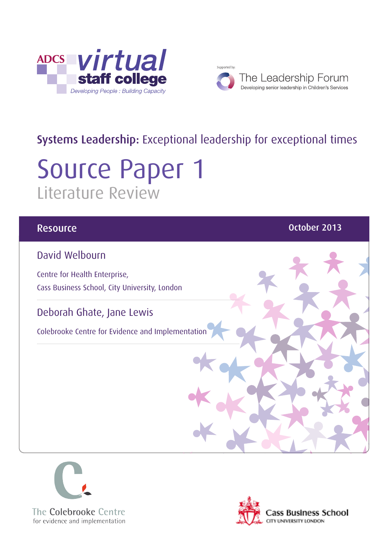



# Systems Leadership: Exceptional leadership for exceptional times

# Source Paper 1 Literature Review

#### David Welbourn

Centre for Health Enterprise, Cass Business School, City University, London

#### Deborah Ghate, Jane Lewis

Colebrooke Centre for Evidence and Implementation

#### **Resource Community Community Community Community Community Community Community Community Community Community** Co



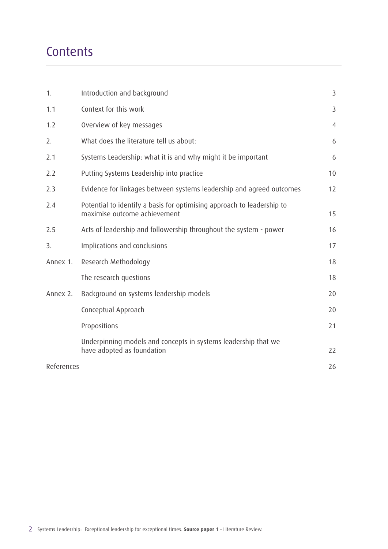# **Contents**

| $\mathbf{1}$ . | Introduction and background                                                                            | 3              |
|----------------|--------------------------------------------------------------------------------------------------------|----------------|
| 1.1            | Context for this work                                                                                  | 3              |
| 1.2            | Overview of key messages                                                                               | $\overline{4}$ |
| 2.             | What does the literature tell us about:                                                                | 6              |
| 2.1            | Systems Leadership: what it is and why might it be important                                           | 6              |
| 2.2            | Putting Systems Leadership into practice                                                               | 10             |
| 2.3            | Evidence for linkages between systems leadership and agreed outcomes                                   | 12             |
| 2.4            | Potential to identify a basis for optimising approach to leadership to<br>maximise outcome achievement | 15             |
| 2.5            | Acts of leadership and followership throughout the system - power                                      | 16             |
| 3.             | Implications and conclusions                                                                           | 17             |
| Annex 1.       | Research Methodology                                                                                   | 18             |
|                | The research questions                                                                                 | 18             |
| Annex 2.       | Background on systems leadership models                                                                | 20             |
|                | Conceptual Approach                                                                                    | 20             |
|                | Propositions                                                                                           | 21             |
|                | Underpinning models and concepts in systems leadership that we<br>have adopted as foundation           | 22             |
| References     |                                                                                                        | 26             |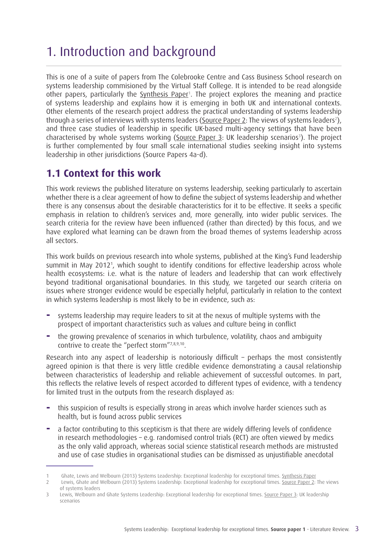# 1. Introduction and background

This is one of a suite of papers from The Colebrooke Centre and Cass Business School research on systems leadership commisioned by the Virtual Staff College. It is intended to be read alongside other papers, particularly the <u>[Synthesis Paper](http://www.virtualstaffcollege.co.uk/wp-content/uploads/VSC_Synthesis_complete.pdf)</u><sup>1</sup>. The project explores the meaning and practice of systems leadership and explains how it is emerging in both UK and international contexts. Other elements of the research project address the practical understanding of systems leadership through a series of interviews with systems leaders [\(Source Paper 2](http://www.virtualstaffcollege.co.uk/wp-content/uploads/strategic_interviews_complete.pdf): The views of systems leaders<sup>2</sup>), and three case studies of leadership in specific UK-based multi-agency settings that have been characterised by whole systems working ( $S$ ource Paper 3: UK leadership scenarios<sup>3</sup>). The project is further complemented by four small scale international studies seeking insight into systems leadership in other jurisdictions (Source Papers 4a-d).

#### **1.1 Context for this work**

This work reviews the published literature on systems leadership, seeking particularly to ascertain whether there is a clear agreement of how to define the subject of systems leadership and whether there is any consensus about the desirable characteristics for it to be effective. It seeks a specific emphasis in relation to children's services and, more generally, into wider public services. The search criteria for the review have been influenced (rather than directed) by this focus, and we have explored what learning can be drawn from the broad themes of systems leadership across all sectors.

This work builds on previous research into whole systems, published at the King's Fund leadership summit in May 2012<sup>1</sup>, which sought to identify conditions for effective leadership across whole health ecosystems: i.e. what is the nature of leaders and leadership that can work effectively beyond traditional organisational boundaries. In this study, we targeted our search criteria on issues where stronger evidence would be especially helpful, particularly in relation to the context in which systems leadership is most likely to be in evidence, such as:

- **−** systems leadership may require leaders to sit at the nexus of multiple systems with the prospect of important characteristics such as values and culture being in conflict
- **−** the growing prevalence of scenarios in which turbulence, volatility, chaos and ambiguity contrive to create the "perfect storm"7,8,9,10.

Research into any aspect of leadership is notoriously difficult – perhaps the most consistently agreed opinion is that there is very little credible evidence demonstrating a causal relationship between characteristics of leadership and reliable achievement of successful outcomes. In part, this reflects the relative levels of respect accorded to different types of evidence, with a tendency for limited trust in the outputs from the research displayed as:

- **−** this suspicion of results is especially strong in areas which involve harder sciences such as health, but is found across public services
- **−** a factor contributing to this scepticism is that there are widely differing levels of confidence in research methodologies – e.g. randomised control trials (RCT) are often viewed by medics as the only valid approach, whereas social science statistical research methods are mistrusted and use of case studies in organisational studies can be dismissed as unjustifiable anecdotal

<sup>1</sup> Ghate, Lewis and Welbourn (2013) Systems Leadership: Exceptional leadership for exceptional times. [Synthesis Paper](http://www.virtualstaffcollege.co.uk/wp-content/uploads/VSC_Synthesis_complete.pdf)

<sup>2</sup> Lewis, Ghate and Welbourn (2013) Systems Leadership: Exceptional leadership for exceptional times. [Source Paper 2](http://www.virtualstaffcollege.co.uk/wp-content/uploads/strategic_interviews_complete.pdf): The views of systems leaders

<sup>3</sup> Lewis, Welbourn and Ghate Systems Leadership: Exceptional leadership for exceptional times. [Source Paper 3](http://www.virtualstaffcollege.co.uk/wp-content/uploads/leadership_scenarios_complete.pdf): UK leadership scenarios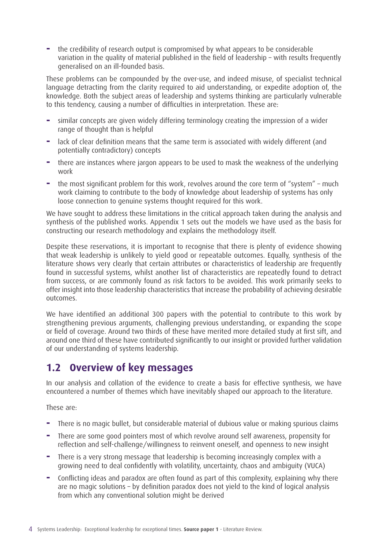**−** the credibility of research output is compromised by what appears to be considerable variation in the quality of material published in the field of leadership – with results frequently generalised on an ill-founded basis.

These problems can be compounded by the over-use, and indeed misuse, of specialist technical language detracting from the clarity required to aid understanding, or expedite adoption of, the knowledge. Both the subject areas of leadership and systems thinking are particularly vulnerable to this tendency, causing a number of difficulties in interpretation. These are:

- **−** similar concepts are given widely differing terminology creating the impression of a wider range of thought than is helpful
- **−** lack of clear definition means that the same term is associated with widely different (and potentially contradictory) concepts
- **−** there are instances where jargon appears to be used to mask the weakness of the underlying work
- **−** the most significant problem for this work, revolves around the core term of "system" much work claiming to contribute to the body of knowledge about leadership of systems has only loose connection to genuine systems thought required for this work.

We have sought to address these limitations in the critical approach taken during the analysis and synthesis of the published works. Appendix 1 sets out the models we have used as the basis for constructing our research methodology and explains the methodology itself.

Despite these reservations, it is important to recognise that there is plenty of evidence showing that weak leadership is unlikely to yield good or repeatable outcomes. Equally, synthesis of the literature shows very clearly that certain attributes or characteristics of leadership are frequently found in successful systems, whilst another list of characteristics are repeatedly found to detract from success, or are commonly found as risk factors to be avoided. This work primarily seeks to offer insight into those leadership characteristics that increase the probability of achieving desirable outcomes.

We have identified an additional 300 papers with the potential to contribute to this work by strengthening previous arguments, challenging previous understanding, or expanding the scope or field of coverage. Around two thirds of these have merited more detailed study at first sift, and around one third of these have contributed significantly to our insight or provided further validation of our understanding of systems leadership.

#### **1.2 Overview of key messages**

In our analysis and collation of the evidence to create a basis for effective synthesis, we have encountered a number of themes which have inevitably shaped our approach to the literature.

These are:

- **−** There is no magic bullet, but considerable material of dubious value or making spurious claims
- **−** There are some good pointers most of which revolve around self awareness, propensity for reflection and self-challenge/willingness to reinvent oneself, and openness to new insight
- **−** There is a very strong message that leadership is becoming increasingly complex with a growing need to deal confidently with volatility, uncertainty, chaos and ambiguity (VUCA)
- **−** Conflicting ideas and paradox are often found as part of this complexity, explaining why there are no magic solutions – by definition paradox does not yield to the kind of logical analysis from which any conventional solution might be derived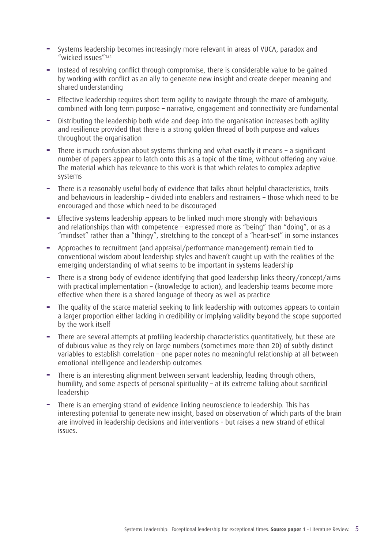- **−** Systems leadership becomes increasingly more relevant in areas of VUCA, paradox and "wicked issues"124
- **−** Instead of resolving conflict through compromise, there is considerable value to be gained by working with conflict as an ally to generate new insight and create deeper meaning and shared understanding
- **−** Effective leadership requires short term agility to navigate through the maze of ambiguity, combined with long term purpose – narrative, engagement and connectivity are fundamental
- **−** Distributing the leadership both wide and deep into the organisation increases both agility and resilience provided that there is a strong golden thread of both purpose and values throughout the organisation
- **−** There is much confusion about systems thinking and what exactly it means a significant number of papers appear to latch onto this as a topic of the time, without offering any value. The material which has relevance to this work is that which relates to complex adaptive systems
- There is a reasonably useful body of evidence that talks about helpful characteristics, traits and behaviours in leadership – divided into enablers and restrainers – those which need to be encouraged and those which need to be discouraged
- **−** Effective systems leadership appears to be linked much more strongly with behaviours and relationships than with competence - expressed more as "being" than "doing", or as a "mindset" rather than a "thingy", stretching to the concept of a "heart-set" in some instances
- **−** Approaches to recruitment (and appraisal/performance management) remain tied to conventional wisdom about leadership styles and haven't caught up with the realities of the emerging understanding of what seems to be important in systems leadership
- **−** There is a strong body of evidence identifying that good leadership links theory/concept/aims with practical implementation – (knowledge to action), and leadership teams become more effective when there is a shared language of theory as well as practice
- The quality of the scarce material seeking to link leadership with outcomes appears to contain a larger proportion either lacking in credibility or implying validity beyond the scope supported by the work itself
- **−** There are several attempts at profiling leadership characteristics quantitatively, but these are of dubious value as they rely on large numbers (sometimes more than 20) of subtly distinct variables to establish correlation – one paper notes no meaningful relationship at all between emotional intelligence and leadership outcomes
- **−** There is an interesting alignment between servant leadership, leading through others, humility, and some aspects of personal spirituality – at its extreme talking about sacrificial leadership
- **−** There is an emerging strand of evidence linking neuroscience to leadership. This has interesting potential to generate new insight, based on observation of which parts of the brain are involved in leadership decisions and interventions - but raises a new strand of ethical issues.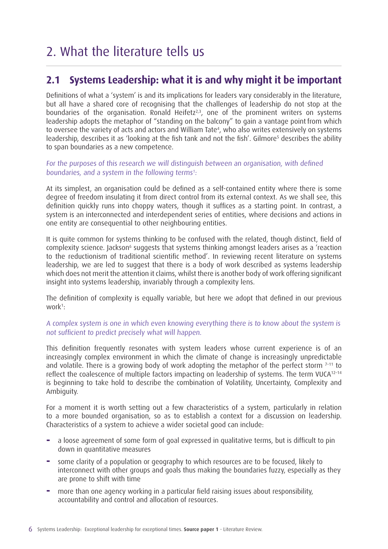# 2. What the literature tells us

#### **2.1 Systems Leadership: what it is and why might it be important**

Definitions of what a 'system' is and its implications for leaders vary considerably in the literature, but all have a shared core of recognising that the challenges of leadership do not stop at the boundaries of the organisation. Ronald Heifetz<sup>2,3</sup>, one of the prominent writers on systems leadership adopts the metaphor of "standing on the balcony" to gain a vantage point from which to oversee the variety of acts and actors and William Tate<sup>4</sup>, who also writes extensively on systems leadership, describes it as 'looking at the fish tank and not the fish'. Gilmore<sup>s</sup> describes the ability to span boundaries as a new competence.

#### For the purposes of this research we will distinguish between an organisation, with defined boundaries, and a system in the following terms<sup>1</sup>:

At its simplest, an organisation could be defined as a self-contained entity where there is some degree of freedom insulating it from direct control from its external context. As we shall see, this definition quickly runs into choppy waters, though it suffices as a starting point. In contrast, a system is an interconnected and interdependent series of entities, where decisions and actions in one entity are consequential to other neighbouring entities.

It is quite common for systems thinking to be confused with the related, though distinct, field of complexity science. Jackson<sup>6</sup> suggests that systems thinking amongst leaders arises as a 'reaction to the reductionism of traditional scientific method'. In reviewing recent literature on systems leadership, we are led to suggest that there is a body of work described as systems leadership which does not merit the attention it claims, whilst there is another body of work offering significant insight into systems leadership, invariably through a complexity lens.

The definition of complexity is equally variable, but here we adopt that defined in our previous work<sup>1</sup>:

#### A complex system is one in which even knowing everything there is to know about the system is not sufficient to predict precisely what will happen.

This definition frequently resonates with system leaders whose current experience is of an increasingly complex environment in which the climate of change is increasingly unpredictable and volatile. There is a growing body of work adopting the metaphor of the perfect storm  $7-11$  to reflect the coalescence of multiple factors impacting on leadership of systems. The term VUCA<sup>12-14</sup> is beginning to take hold to describe the combination of Volatility, Uncertainty, Complexity and Ambiguity.

For a moment it is worth setting out a few characteristics of a system, particularly in relation to a more bounded organisation, so as to establish a context for a discussion on leadership. Characteristics of a system to achieve a wider societal good can include:

- **−** a loose agreement of some form of goal expressed in qualitative terms, but is difficult to pin down in quantitative measures
- **−** some clarity of a population or geography to which resources are to be focused, likely to interconnect with other groups and goals thus making the boundaries fuzzy, especially as they are prone to shift with time
- **−** more than one agency working in a particular field raising issues about responsibility, accountability and control and allocation of resources.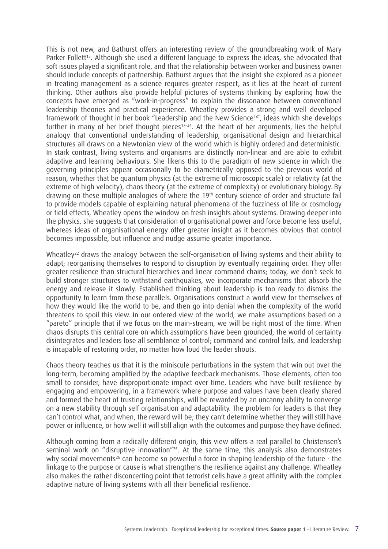This is not new, and Bathurst offers an interesting review of the groundbreaking work of Mary Parker Follett<sup>15</sup>. Although she used a different language to express the ideas, she advocated that soft issues played a significant role, and that the relationship between worker and business owner should include concepts of partnership. Bathurst argues that the insight she explored as a pioneer in treating management as a science requires greater respect, as it lies at the heart of current thinking. Other authors also provide helpful pictures of systems thinking by exploring how the concepts have emerged as "work-in-progress" to explain the dissonance between conventional leadership theories and practical experience. Wheatley provides a strong and well developed framework of thought in her book "Leadership and the New Science<sup>16"</sup>, ideas which she develops further in many of her brief thought pieces<sup>17-24</sup>. At the heart of her arguments, lies the helpful analogy that conventional understanding of leadership, organisational design and hierarchical structures all draws on a Newtonian view of the world which is highly ordered and deterministic. In stark contrast, living systems and organisms are distinctly non-linear and are able to exhibit adaptive and learning behaviours. She likens this to the paradigm of new science in which the governing principles appear occasionally to be diametrically opposed to the previous world of reason, whether that be quantum physics (at the extreme of microscopic scale) or relativity (at the extreme of high velocity), chaos theory (at the extreme of complexity) or evolutionary biology. By drawing on these multiple analogies of where the 19<sup>th</sup> century science of order and structure fail to provide models capable of explaining natural phenomena of the fuzziness of life or cosmology or field effects, Wheatley opens the window on fresh insights about systems. Drawing deeper into the physics, she suggests that consideration of organisational power and force become less useful, whereas ideas of organisational energy offer greater insight as it becomes obvious that control becomes impossible, but influence and nudge assume greater importance.

Wheatley<sup>22</sup> draws the analogy between the self-organisation of living systems and their ability to adapt; reorganising themselves to respond to disruption by eventually regaining order. They offer greater resilience than structural hierarchies and linear command chains; today, we don't seek to build stronger structures to withstand earthquakes, we incorporate mechanisms that absorb the energy and release it slowly. Established thinking about leadership is too ready to dismiss the opportunity to learn from these parallels. Organisations construct a world view for themselves of how they would like the world to be, and then go into denial when the complexity of the world threatens to spoil this view. In our ordered view of the world, we make assumptions based on a "pareto" principle that if we focus on the main-stream, we will be right most of the time. When chaos disrupts this central core on which assumptions have been grounded, the world of certainty disintegrates and leaders lose all semblance of control; command and control fails, and leadership is incapable of restoring order, no matter how loud the leader shouts.

Chaos theory teaches us that it is the miniscule perturbations in the system that win out over the long-term, becoming amplified by the adaptive feedback mechanisms. Those elements, often too small to consider, have disproportionate impact over time. Leaders who have built resilience by engaging and empowering, in a framework where purpose and values have been clearly shared and formed the heart of trusting relationships, will be rewarded by an uncanny ability to converge on a new stability through self organisation and adaptability. The problem for leaders is that they can't control what, and when, the reward will be; they can't determine whether they will still have power or influence, or how well it will still align with the outcomes and purpose they have defined.

Although coming from a radically different origin, this view offers a real parallel to Christensen's seminal work on "disruptive innovation"<sup>25</sup>. At the same time, this analysis also demonstrates why social movements<sup>26</sup> can become so powerful a force in shaping leadership of the future - the linkage to the purpose or cause is what strengthens the resilience against any challenge. Wheatley also makes the rather disconcerting point that terrorist cells have a great affinity with the complex adaptive nature of living systems with all their beneficial resilience.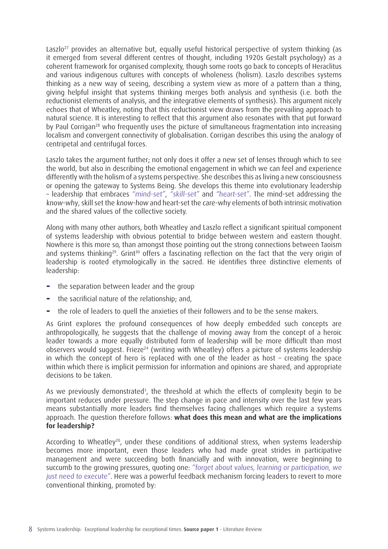Laszlo<sup>27</sup> provides an alternative but, equally useful historical perspective of system thinking (as it emerged from several different centres of thought, including 1920s Gestalt psychology) as a coherent framework for organised complexity, though some roots go back to concepts of Heraclitus and various indigenous cultures with concepts of wholeness (holism). Laszlo describes systems thinking as a new way of seeing, describing a system view as more of a pattern than a thing, giving helpful insight that systems thinking merges both analysis and synthesis (i.e. both the reductionist elements of analysis, and the integrative elements of synthesis). This argument nicely echoes that of Wheatley, noting that this reductionist view draws from the prevailing approach to natural science. It is interesting to reflect that this argument also resonates with that put forward by Paul Corrigan<sup>28</sup> who frequently uses the picture of simultaneous fragmentation into increasing localism and convergent connectivity of globalisation. Corrigan describes this using the analogy of centripetal and centrifugal forces.

Laszlo takes the argument further; not only does it offer a new set of lenses through which to see the world, but also in describing the emotional engagement in which we can feel and experience differently with the holism of a systems perspective. She describes this as living a new consciousness or opening the gateway to Systems Being. She develops this theme into evolutionary leadership – leadership that embraces "mind-set", "skill-set" and "heart-set". The mind-set addressing the know-why, skill set the know-how and heart-set the care-why elements of both intrinsic motivation and the shared values of the collective society.

Along with many other authors, both Wheatley and Laszlo reflect a significant spiritual component of systems leadership with obvious potential to bridge between western and eastern thought. Nowhere is this more so, than amongst those pointing out the strong connections between Taoism and systems thinking<sup>29</sup>. Grint<sup>30</sup> offers a fascinating reflection on the fact that the very origin of leadership is rooted etymologically in the sacred. He identifies three distinctive elements of leadership:

- **−** the separation between leader and the group
- **−** the sacrificial nature of the relationship; and,
- **−** the role of leaders to quell the anxieties of their followers and to be the sense makers.

As Grint explores the profound consequences of how deeply embedded such concepts are anthropologically, he suggests that the challenge of moving away from the concept of a heroic leader towards a more equally distributed form of leadership will be more difficult than most observers would suggest. Frieze<sup>24</sup> (writing with Wheatley) offers a picture of systems leadership in which the concept of hero is replaced with one of the leader as host – creating the space within which there is implicit permission for information and opinions are shared, and appropriate decisions to be taken.

As we previously demonstrated<sup>1</sup>, the threshold at which the effects of complexity begin to be important reduces under pressure. The step change in pace and intensity over the last few years means substantially more leaders find themselves facing challenges which require a systems approach. The question therefore follows: **what does this mean and what are the implications for leadership?** 

According to Wheatley<sup>20</sup>, under these conditions of additional stress, when systems leadership becomes more important, even those leaders who had made great strides in participative management and were succeeding both financially and with innovation, were beginning to succumb to the growing pressures, quoting one: "forget about values, learning or participation, we just need to execute". Here was a powerful feedback mechanism forcing leaders to revert to more conventional thinking, promoted by: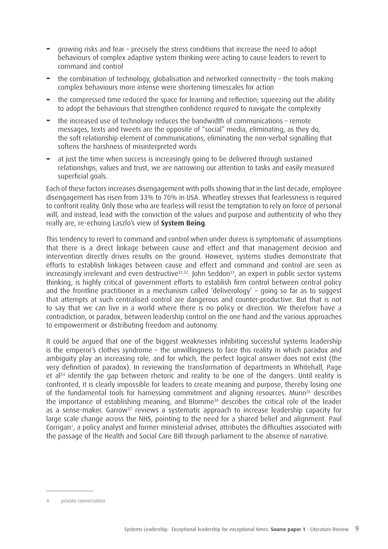- **−** growing risks and fear precisely the stress conditions that increase the need to adopt behaviours of complex adaptive system thinking were acting to cause leaders to revert to command and control
- **−** the combination of technology, globalisation and networked connectivity the tools making complex behaviours more intense were shortening timescales for action
- **−** the compressed time reduced the space for learning and reflection; squeezing out the ability to adopt the behaviours that strengthen confidence required to navigate the complexity
- **−** the increased use of technology reduces the bandwidth of communications remote messages, texts and tweets are the opposite of "social" media, eliminating, as they do, the soft relationship element of communications, eliminating the non-verbal signalling that softens the harshness of misinterpreted words
- **−** at just the time when success is increasingly going to be delivered through sustained relationships, values and trust, we are narrowing our attention to tasks and easily measured superficial goals.

Each of these factors increases disengagement with polls showing that in the last decade, employee disengagement has risen from 33% to 70% in USA. Wheatley stresses that fearlessness is required to confront reality. Only those who are fearless will resist the temptation to rely on force of personal will, and instead, lead with the conviction of the values and purpose and authenticity of who they really are, re-echoing Laszlo's view of **System Being**.

This tendency to revert to command and control when under duress is symptomatic of assumptions that there is a direct linkage between cause and effect and that management decision and intervention directly drives results on the ground. However, systems studies demonstrate that efforts to establish linkages between cause and effect and command and control are seen as increasingly irrelevant and even destructive<sup>31,32</sup>. John Seddon<sup>33</sup>, an expert in public sector systems thinking, is highly critical of government efforts to establish firm control between central policy and the frontline practitioner in a mechanism called 'deliverology' – going so far as to suggest that attempts at such centralised control are dangerous and counter-productive. But that is not to say that we can live in a world where there is no policy or direction. We therefore have a contradiction, or paradox, between leadership control on the one hand and the various approaches to empowerment or distributing freedom and autonomy.

It could be argued that one of the biggest weaknesses inhibiting successful systems leadership is the emperor's clothes syndrome – the unwillingness to face this reality in which paradox and ambiguity play an increasing role, and for which, the perfect logical answer does not exist (the very definition of paradox). In reviewing the transformation of departments in Whitehall, Page et al<sup>34</sup> identify the gap between rhetoric and reality to be one of the dangers. Until reality is confronted, it is clearly impossible for leaders to create meaning and purpose, thereby losing one of the fundamental tools for harnessing commitment and aligning resources. Munn<sup>35</sup> describes the importance of establishing meaning, and Blomme36 describes the critical role of the leader as a sense-maker. Garrow<sup>37</sup> reviews a systematic approach to increase leadership capacity for large scale change across the NHS, pointing to the need for a shared belief and alignment. Paul Corrigan<sup>4</sup>, a policy analyst and former ministerial adviser, attributes the difficulties associated with the passage of the Health and Social Care Bill through parliament to the absence of narrative.

<sup>4</sup> private conversation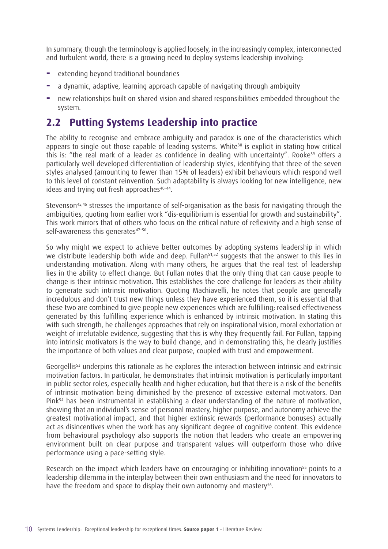In summary, though the terminology is applied loosely, in the increasingly complex, interconnected and turbulent world, there is a growing need to deploy systems leadership involving:

- **−** extending beyond traditional boundaries
- **−** a dynamic, adaptive, learning approach capable of navigating through ambiguity
- **−** new relationships built on shared vision and shared responsibilities embedded throughout the system.

#### **2.2 Putting Systems Leadership into practice**

The ability to recognise and embrace ambiguity and paradox is one of the characteristics which appears to single out those capable of leading systems. White<sup>38</sup> is explicit in stating how critical this is: "the real mark of a leader as confidence in dealing with uncertainty". Rooke<sup>39</sup> offers a particularly well developed differentiation of leadership styles, identifying that three of the seven styles analysed (amounting to fewer than 15% of leaders) exhibit behaviours which respond well to this level of constant reinvention. Such adaptability is always looking for new intelligence, new ideas and trying out fresh approaches<sup>40-44</sup>.

Stevenson<sup>45,46</sup> stresses the importance of self-organisation as the basis for navigating through the ambiguities, quoting from earlier work "dis-equilibrium is essential for growth and sustainability". This work mirrors that of others who focus on the critical nature of reflexivity and a high sense of self-awareness this generates<sup>47-50</sup>.

So why might we expect to achieve better outcomes by adopting systems leadership in which we distribute leadership both wide and deep. Fullan<sup>51,52</sup> suggests that the answer to this lies in understanding motivation. Along with many others, he argues that the real test of leadership lies in the ability to effect change. But Fullan notes that the only thing that can cause people to change is their intrinsic motivation. This establishes the core challenge for leaders as their ability to generate such intrinsic motivation. Quoting Machiavelli, he notes that people are generally incredulous and don't trust new things unless they have experienced them, so it is essential that these two are combined to give people new experiences which are fulfilling; realised effectiveness generated by this fulfilling experience which is enhanced by intrinsic motivation. In stating this with such strength, he challenges approaches that rely on inspirational vision, moral exhortation or weight of irrefutable evidence, suggesting that this is why they frequently fail. For Fullan, tapping into intrinsic motivators is the way to build change, and in demonstrating this, he clearly justifies the importance of both values and clear purpose, coupled with trust and empowerment.

Georgellis<sup>53</sup> underpins this rationale as he explores the interaction between intrinsic and extrinsic motivation factors. In particular, he demonstrates that intrinsic motivation is particularly important in public sector roles, especially health and higher education, but that there is a risk of the benefits of intrinsic motivation being diminished by the presence of excessive external motivators. Dan Pink54 has been instrumental in establishing a clear understanding of the nature of motivation, showing that an individual's sense of personal mastery, higher purpose, and autonomy achieve the greatest motivational impact, and that higher extrinsic rewards (performance bonuses) actually act as disincentives when the work has any significant degree of cognitive content. This evidence from behavioural psychology also supports the notion that leaders who create an empowering environment built on clear purpose and transparent values will outperform those who drive performance using a pace-setting style.

Research on the impact which leaders have on encouraging or inhibiting innovation<sup>55</sup> points to a leadership dilemma in the interplay between their own enthusiasm and the need for innovators to have the freedom and space to display their own autonomy and mastery<sup>56</sup>.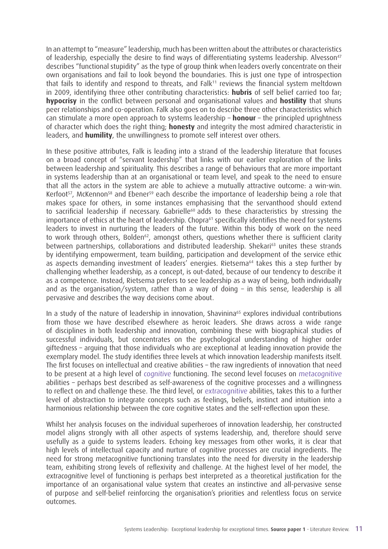In an attempt to "measure" leadership, much has been written about the attributes or characteristics of leadership, especially the desire to find ways of differentiating systems leadership. Alvesson<sup>47</sup> describes "functional stupidity" as the type of group think when leaders overly concentrate on their own organisations and fail to look beyond the boundaries. This is just one type of introspection that fails to identify and respond to threats, and Falk<sup>11</sup> reviews the financial system meltdown in 2009, identifying three other contributing characteristics: **hubris** of self belief carried too far; **hypocrisy** in the conflict between personal and organisational values and **hostility** that shuns peer relationships and co-operation. Falk also goes on to describe three other characteristics which can stimulate a more open approach to systems leadership – **honour** – the principled uprightness of character which does the right thing; **honesty** and integrity the most admired characteristic in leaders, and **humility**, the unwillingness to promote self interest over others.

In these positive attributes, Falk is leading into a strand of the leadership literature that focuses on a broad concept of "servant leadership" that links with our earlier exploration of the links between leadership and spirituality. This describes a range of behaviours that are more important in systems leadership than at an organisational or team level, and speak to the need to ensure that all the actors in the system are able to achieve a mutually attractive outcome: a win-win. Kerfoot<sup>57</sup>, McKennon<sup>58</sup> and Ebener<sup>59</sup> each describe the importance of leadership being a role that makes space for others, in some instances emphasising that the servanthood should extend to sacrificial leadership if necessary. Gabrielle<sup>60</sup> adds to these characteristics by stressing the importance of ethics at the heart of leadership. Chopra<sup>61</sup> specifically identifies the need for systems leaders to invest in nurturing the leaders of the future. Within this body of work on the need to work through others, Bolden<sup>62</sup>, amongst others, questions whether there is sufficient clarity between partnerships, collaborations and distributed leadership. Shekari<sup>63</sup> unites these strands by identifying empowerment, team building, participation and development of the service ethic as aspects demanding investment of leaders' energies. Rietsema<sup>64</sup> takes this a step further by challenging whether leadership, as a concept, is out-dated, because of our tendency to describe it as a competence. Instead, Rietsema prefers to see leadership as a way of being, both individually and as the organisation/system, rather than a way of doing – in this sense, leadership is all pervasive and describes the way decisions come about.

In a study of the nature of leadership in innovation, Shavinina<sup>65</sup> explores individual contributions from those we have described elsewhere as heroic leaders. She draws across a wide range of disciplines in both leadership and innovation, combining these with biographical studies of successful individuals, but concentrates on the psychological understanding of higher order giftedness – arguing that those individuals who are exceptional at leading innovation provide the exemplary model. The study identifies three levels at which innovation leadership manifests itself. The first focuses on intellectual and creative abilities – the raw ingredients of innovation that need to be present at a high level of cognitive functioning. The second level focuses on metacognitive abilities – perhaps best described as self-awareness of the cognitive processes and a willingness to reflect on and challenge these. The third level, or extracognitive abilities, takes this to a further level of abstraction to integrate concepts such as feelings, beliefs, instinct and intuition into a harmonious relationship between the core cognitive states and the self-reflection upon these.

Whilst her analysis focuses on the individual superheroes of innovation leadership, her constructed model aligns strongly with all other aspects of systems leadership, and, therefore should serve usefully as a guide to systems leaders. Echoing key messages from other works, it is clear that high levels of intellectual capacity and nurture of cognitive processes are crucial ingredients. The need for strong metacognitive functioning translates into the need for diversity in the leadership team, exhibiting strong levels of reflexivity and challenge. At the highest level of her model, the extracognitive level of functioning is perhaps best interpreted as a theoretical justification for the importance of an organisational value system that creates an instinctive and all-pervasive sense of purpose and self-belief reinforcing the organisation's priorities and relentless focus on service outcomes.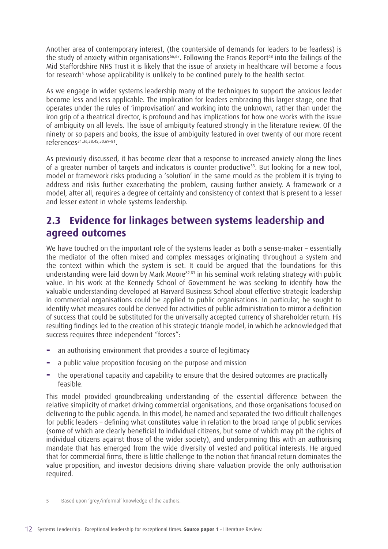Another area of contemporary interest, (the counterside of demands for leaders to be fearless) is the study of anxiety within organisations<sup>66,67</sup>. Following the Francis Report<sup>68</sup> into the failings of the Mid Staffordshire NHS Trust it is likely that the issue of anxiety in healthcare will become a focus for research<sup>5</sup> whose applicability is unlikely to be confined purely to the health sector.

As we engage in wider systems leadership many of the techniques to support the anxious leader become less and less applicable. The implication for leaders embracing this larger stage, one that operates under the rules of 'improvisation' and working into the unknown, rather than under the iron grip of a theatrical director, is profound and has implications for how one works with the issue of ambiguity on all levels. The issue of ambiguity featured strongly in the literature review. Of the ninety or so papers and books, the issue of ambiguity featured in over twenty of our more recent references31,36,38,45,50,69–81.

As previously discussed, it has become clear that a response to increased anxiety along the lines of a greater number of targets and indicators is counter productive<sup>33</sup>. But looking for a new tool, model or framework risks producing a 'solution' in the same mould as the problem it is trying to address and risks further exacerbating the problem, causing further anxiety. A framework or a model, after all, requires a degree of certainty and consistency of context that is present to a lesser and lesser extent in whole systems leadership.

#### **2.3 Evidence for linkages between systems leadership and agreed outcomes**

We have touched on the important role of the systems leader as both a sense-maker – essentially the mediator of the often mixed and complex messages originating throughout a system and the context within which the system is set. It could be argued that the foundations for this understanding were laid down by Mark Moore<sup>82,83</sup> in his seminal work relating strategy with public value. In his work at the Kennedy School of Government he was seeking to identify how the valuable understanding developed at Harvard Business School about effective strategic leadership in commercial organisations could be applied to public organisations. In particular, he sought to identify what measures could be derived for activities of public administration to mirror a definition of success that could be substituted for the universally accepted currency of shareholder return. His resulting findings led to the creation of his strategic triangle model, in which he acknowledged that success requires three independent "forces":

- **−** an authorising environment that provides a source of legitimacy
- **−** a public value proposition focusing on the purpose and mission
- **−** the operational capacity and capability to ensure that the desired outcomes are practically feasible.

This model provided groundbreaking understanding of the essential difference between the relative simplicity of market driving commercial organisations, and those organisations focused on delivering to the public agenda. In this model, he named and separated the two difficult challenges for public leaders – defining what constitutes value in relation to the broad range of public services (some of which are clearly beneficial to individual citizens, but some of which may pit the rights of individual citizens against those of the wider society), and underpinning this with an authorising mandate that has emerged from the wide diversity of vested and political interests. He argued that for commercial firms, there is little challenge to the notion that financial return dominates the value proposition, and investor decisions driving share valuation provide the only authorisation required.

<sup>5</sup> Based upon 'grey/informal' knowledge of the authors.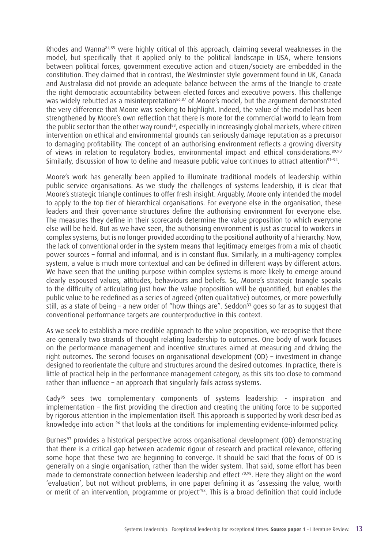Rhodes and Wanna84,85 were highly critical of this approach, claiming several weaknesses in the model, but specifically that it applied only to the political landscape in USA, where tensions between political forces, government executive action and citizen/society are embedded in the constitution. They claimed that in contrast, the Westminster style government found in UK, Canada and Australasia did not provide an adequate balance between the arms of the triangle to create the right democratic accountability between elected forces and executive powers. This challenge was widely rebutted as a misinterpretation<sup>86,87</sup> of Moore's model, but the argument demonstrated the very difference that Moore was seeking to highlight. Indeed, the value of the model has been strengthened by Moore's own reflection that there is more for the commercial world to learn from the public sector than the other way round<sup>88</sup>, especially in increasingly global markets, where citizen intervention on ethical and environmental grounds can seriously damage reputation as a precursor to damaging profitability. The concept of an authorising environment reflects a growing diversity of views in relation to regulatory bodies, environmental impact and ethical considerations.<sup>89,90</sup> Similarly, discussion of how to define and measure public value continues to attract attention<sup>91-94</sup>.

Moore's work has generally been applied to illuminate traditional models of leadership within public service organisations. As we study the challenges of systems leadership, it is clear that Moore's strategic triangle continues to offer fresh insight. Arguably, Moore only intended the model to apply to the top tier of hierarchical organisations. For everyone else in the organisation, these leaders and their governance structures define the authorising environment for everyone else. The measures they define in their scorecards determine the value proposition to which everyone else will be held. But as we have seen, the authorising environment is just as crucial to workers in complex systems, but is no longer provided according to the positional authority of a hierarchy. Now, the lack of conventional order in the system means that legitimacy emerges from a mix of chaotic power sources – formal and informal, and is in constant flux. Similarly, in a multi-agency complex system, a value is much more contextual and can be defined in different ways by different actors. We have seen that the uniting purpose within complex systems is more likely to emerge around clearly espoused values, attitudes, behaviours and beliefs. So, Moore's strategic triangle speaks to the difficulty of articulating just how the value proposition will be quantified, but enables the public value to be redefined as a series of agreed (often qualitative) outcomes, or more powerfully still, as a state of being – a new order of "how things are". Seddon<sup>33</sup> goes so far as to suggest that conventional performance targets are counterproductive in this context.

As we seek to establish a more credible approach to the value proposition, we recognise that there are generally two strands of thought relating leadership to outcomes. One body of work focuses on the performance management and incentive structures aimed at measuring and driving the right outcomes. The second focuses on organisational development (OD) – investment in change designed to reorientate the culture and structures around the desired outcomes. In practice, there is little of practical help in the performance management category, as this sits too close to command rather than influence – an approach that singularly fails across systems.

Cady95 sees two complementary components of systems leadership: - inspiration and implementation – the first providing the direction and creating the uniting force to be supported by rigorous attention in the implementation itself. This approach is supported by work described as knowledge into action <sup>96</sup> that looks at the conditions for implementing evidence-informed policy.

Burnes<sup>97</sup> provides a historical perspective across organisational development (OD) demonstrating that there is a critical gap between academic rigour of research and practical relevance, offering some hope that these two are beginning to converge. It should be said that the focus of OD is generally on a single organisation, rather than the wider system. That said, some effort has been made to demonstrate connection between leadership and effect <sup>70,98</sup>. Here they alight on the word 'evaluation', but not without problems, in one paper defining it as 'assessing the value, worth or merit of an intervention, programme or project<sup>'98</sup>. This is a broad definition that could include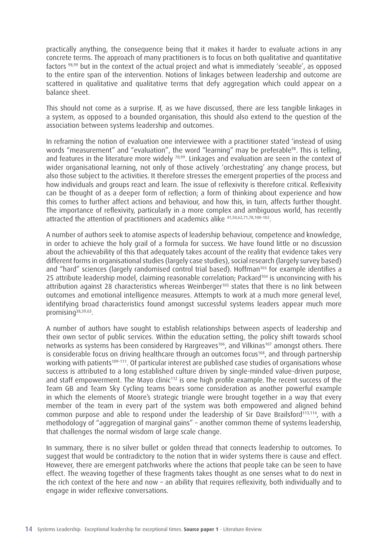practically anything, the consequence being that it makes it harder to evaluate actions in any concrete terms. The approach of many practitioners is to focus on both qualitative and quantitative factors 98,99 but in the context of the actual project and what is immediately 'seeable', as opposed to the entire span of the intervention. Notions of linkages between leadership and outcome are scattered in qualitative and qualitative terms that defy aggregation which could appear on a balance sheet.

This should not come as a surprise. If, as we have discussed, there are less tangible linkages in a system, as opposed to a bounded organisation, this should also extend to the question of the association between systems leadership and outcomes.

In reframing the notion of evaluation one interviewee with a practitioner stated 'instead of using words "measurement" and "evaluation", the word "learning" may be preferable<sup>98</sup>. This is telling, and features in the literature more widely 70,99. Linkages and evaluation are seen in the context of wider organisational learning, not only of those actively 'orchestrating' any change process, but also those subject to the activities. It therefore stresses the emergent properties of the process and how individuals and groups react and learn. The issue of reflexivity is therefore critical. Reflexivity can be thought of as a deeper form of reflection; a form of thinking about experience and how this comes to further affect actions and behaviour, and how this, in turn, affects further thought. The importance of reflexivity, particularly in a more complex and ambiguous world, has recently attracted the attention of practitioners and academics alike 41,50,62,71,78,100–102.

A number of authors seek to atomise aspects of leadership behaviour, competence and knowledge, in order to achieve the holy grail of a formula for success. We have found little or no discussion about the achievability of this that adequately takes account of the reality that evidence takes very different forms in organisational studies (largely case studies), social research (largely survey based) and "hard" sciences (largely randomised control trial based). Hoffman<sup>103</sup> for example identifies a 25 attribute leadership model, claiming reasonable correlation; Packard<sup>104</sup> is unconvincing with his attribution against 28 characteristics whereas Weinberger<sup>105</sup> states that there is no link between outcomes and emotional intelligence measures. Attempts to work at a much more general level, identifying broad characteristics found amongst successful systems leaders appear much more promising<sup>38,39,63</sup>.

A number of authors have sought to establish relationships between aspects of leadership and their own sector of public services. Within the education setting, the policy shift towards school networks as systems has been considered by Hargreaves<sup>106</sup>, and Vilkinas<sup>107</sup> amongst others. There is considerable focus on driving healthcare through an outcomes focus<sup>108</sup>, and through partnership working with patients<sup>109-111</sup>. Of particular interest are published case studies of organisations whose success is attributed to a long established culture driven by single-minded value-driven purpose, and staff empowerment. The Mayo clinic<sup>112</sup> is one high profile example. The recent success of the Team GB and Team Sky Cycling teams bears some consideration as another powerful example in which the elements of Moore's strategic triangle were brought together in a way that every member of the team in every part of the system was both empowered and aligned behind common purpose and able to respond under the leadership of Sir Dave Brailsford<sup>113,114</sup>, with a methodology of "aggregation of marginal gains" – another common theme of systems leadership, that challenges the normal wisdom of large scale change.

In summary, there is no silver bullet or golden thread that connects leadership to outcomes. To suggest that would be contradictory to the notion that in wider systems there is cause and effect. However, there are emergent patchworks where the actions that people take can be seen to have effect. The weaving together of these fragments takes thought as one senses what to do next in the rich context of the here and now – an ability that requires reflexivity, both individually and to engage in wider reflexive conversations.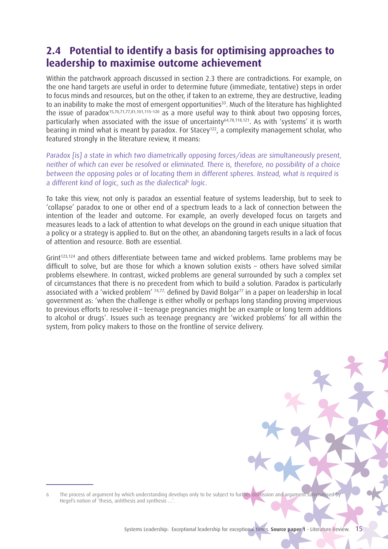### **2.4 Potential to identify a basis for optimising approaches to leadership to maximise outcome achievement**

Within the patchwork approach discussed in section 2.3 there are contradictions. For example, on the one hand targets are useful in order to determine future (immediate, tentative) steps in order to focus minds and resources, but on the other, if taken to an extreme, they are destructive, leading to an inability to make the most of emergent opportunities<sup>33</sup>. Much of the literature has highlighted the issue of paradox15,70,71,77,81,101,115–120 as a more useful way to think about two opposing forces, particularly when associated with the issue of uncertainty<sup>64,78,118,121</sup>. As with 'systems' it is worth bearing in mind what is meant by paradox. For Stacey<sup>122</sup>, a complexity management scholar, who featured strongly in the literature review, it means:

Paradox [is] a state in which two diametrically opposing forces/ideas are simultaneously present, neither of which can ever be resolved or eliminated. There is, therefore, no possibility of a choice between the opposing poles or of locating them in different spheres. Instead, what is required is a different kind of logic, such as the dialectical<sup>6</sup> logic.

To take this view, not only is paradox an essential feature of systems leadership, but to seek to 'collapse' paradox to one or other end of a spectrum leads to a lack of connection between the intention of the leader and outcome. For example, an overly developed focus on targets and measures leads to a lack of attention to what develops on the ground in each unique situation that a policy or a strategy is applied to. But on the other, an abandoning targets results in a lack of focus of attention and resource. Both are essential.

Grint<sup>123,124</sup> and others differentiate between tame and wicked problems. Tame problems may be difficult to solve, but are those for which a known solution exists – others have solved similar problems elsewhere. In contrast, wicked problems are general surrounded by such a complex set of circumstances that there is no precedent from which to build a solution. Paradox is particularly associated with a 'wicked problem' <sup>74,77,</sup> defined by David Bolgar<sup>77</sup> in a paper on leadership in local government as: 'when the challenge is either wholly or perhaps long standing proving impervious to previous efforts to resolve it – teenage pregnancies might be an example or long term additions to alcohol or drugs'. Issues such as teenage pregnancy are 'wicked problems' for all within the system, from policy makers to those on the frontline of service delivery.

<sup>6</sup> The process of argument by which understanding develops only to be subject to further discussion and argument summarised by Hegel's notion of 'thesis, antithesis and synthesis …'.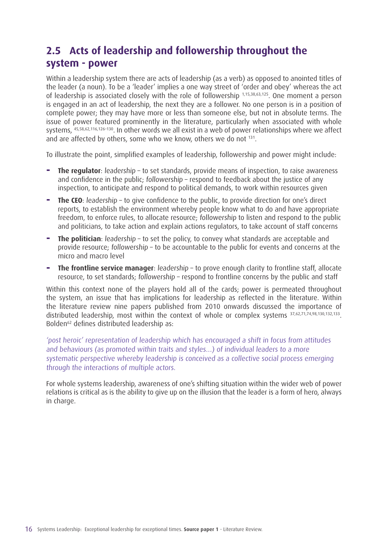# **2.5 Acts of leadership and followership throughout the system - power**

Within a leadership system there are acts of leadership (as a verb) as opposed to anointed titles of the leader (a noun). To be a 'leader' implies a one way street of 'order and obey' whereas the act of leadership is associated closely with the role of followership 1,15,38,63,125. One moment a person is engaged in an act of leadership, the next they are a follower. No one person is in a position of complete power; they may have more or less than someone else, but not in absolute terms. The issue of power featured prominently in the literature, particularly when associated with whole systems, 45,58,62,116,126–130. In other words we all exist in a web of power relationships where we affect and are affected by others, some who we know, others we do not 131.

To illustrate the point, simplified examples of leadership, followership and power might include:

- **− The regulator**: leadership to set standards, provide means of inspection, to raise awareness and confidence in the public; followership – respond to feedback about the justice of any inspection, to anticipate and respond to political demands, to work within resources given
- **− The CEO**: leadership to give confidence to the public, to provide direction for one's direct reports, to establish the environment whereby people know what to do and have appropriate freedom, to enforce rules, to allocate resource; followership to listen and respond to the public and politicians, to take action and explain actions regulators, to take account of staff concerns
- **− The politician**: leadership to set the policy, to convey what standards are acceptable and provide resource; followership – to be accountable to the public for events and concerns at the micro and macro level
- **− The frontline service manager**: leadership to prove enough clarity to frontline staff, allocate resource, to set standards; followership – respond to frontline concerns by the public and staff

Within this context none of the players hold all of the cards; power is permeated throughout the system, an issue that has implications for leadership as reflected in the literature. Within the literature review nine papers published from 2010 onwards discussed the importance of distributed leadership, most within the context of whole or complex systems  $37,62,71,74,98,130,132,133$ . Bolden62 defines distributed leadership as:

'post heroic' representation of leadership which has encouraged a shift in focus from attitudes and behaviours (as promoted within traits and styles…) of individual leaders to a more systematic perspective whereby leadership is conceived as a collective social process emerging through the interactions of multiple actors.

For whole systems leadership, awareness of one's shifting situation within the wider web of power relations is critical as is the ability to give up on the illusion that the leader is a form of hero, always in charge.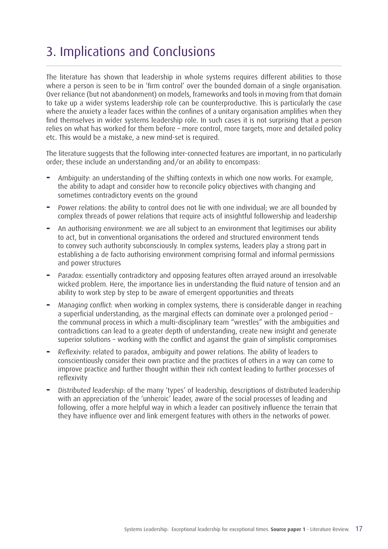# 3. Implications and Conclusions

The literature has shown that leadership in whole systems requires different abilities to those where a person is seen to be in 'firm control' over the bounded domain of a single organisation. Over reliance (but not abandonment) on models, frameworks and tools in moving from that domain to take up a wider systems leadership role can be counterproductive. This is particularly the case where the anxiety a leader faces within the confines of a unitary organisation amplifies when they find themselves in wider systems leadership role. In such cases it is not surprising that a person relies on what has worked for them before – more control, more targets, more and detailed policy etc. This would be a mistake, a new mind-set is required.

The literature suggests that the following inter-connected features are important, in no particularly order; these include an understanding and/or an ability to encompass:

- **−** Ambiguity: an understanding of the shifting contexts in which one now works. For example, the ability to adapt and consider how to reconcile policy objectives with changing and sometimes contradictory events on the ground
- **−** Power relations: the ability to control does not lie with one individual; we are all bounded by complex threads of power relations that require acts of insightful followership and leadership
- **−** An authorising environment: we are all subject to an environment that legitimises our ability to act, but in conventional organisations the ordered and structured environment tends to convey such authority subconsciously. In complex systems, leaders play a strong part in establishing a de facto authorising environment comprising formal and informal permissions and power structures
- **−** Paradox: essentially contradictory and opposing features often arrayed around an irresolvable wicked problem. Here, the importance lies in understanding the fluid nature of tension and an ability to work step by step to be aware of emergent opportunities and threats
- **−** Managing conflict: when working in complex systems, there is considerable danger in reaching a superficial understanding, as the marginal effects can dominate over a prolonged period – the communal process in which a multi-disciplinary team "wrestles" with the ambiguities and contradictions can lead to a greater depth of understanding, create new insight and generate superior solutions – working with the conflict and against the grain of simplistic compromises
- **−** Reflexivity: related to paradox, ambiguity and power relations. The ability of leaders to conscientiously consider their own practice and the practices of others in a way can come to improve practice and further thought within their rich context leading to further processes of reflexivity
- **−** Distributed leadership: of the many 'types' of leadership, descriptions of distributed leadership with an appreciation of the 'unheroic' leader, aware of the social processes of leading and following, offer a more helpful way in which a leader can positively influence the terrain that they have influence over and link emergent features with others in the networks of power.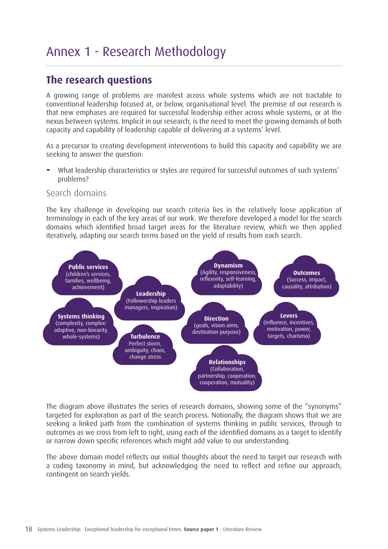# Annex 1 - Research Methodology

### **The research questions**

A growing range of problems are manifest across whole systems which are not tractable to conventional leadership focused at, or below, organisational level. The premise of our research is that new emphases are required for successful leadership either across whole systems, or at the nexus between systems. Implicit in our research, is the need to meet the growing demands of both capacity and capability of leadership capable of delivering at a systems' level.

As a precursor to creating development interventions to build this capacity and capability we are seeking to answer the question:

**−** What leadership characteristics or styles are required for successful outcomes of such systems' problems?

#### Search domains

The key challenge in developing our search criteria lies in the relatively loose application of terminology in each of the key areas of our work. We therefore developed a model for the search domains which identified broad target areas for the literature review, which we then applied iteratively, adapting our search terms based on the yield of results from each search.



The diagram above illustrates the series of research domains, showing some of the "synonyms" targeted for exploration as part of the search process. Notionally, the diagram shows that we are seeking a linked path from the combination of systems thinking in public services, through to outcomes as we cross from left to right, using each of the identified domains as a target to identify or narrow down specific references which might add value to our understanding.

The above domain model reflects our initial thoughts about the need to target our research with a coding taxonomy in mind, but acknowledging the need to reflect and refine our approach, contingent on search yields.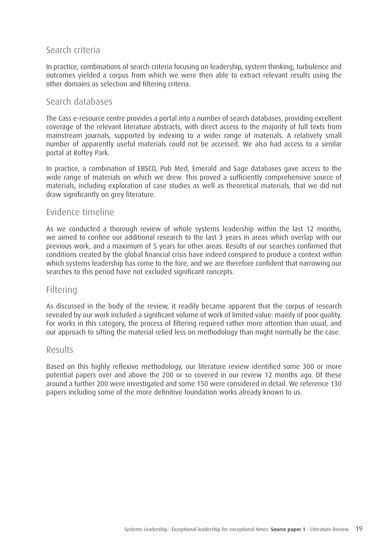#### Search criteria

In practice, combinations of search criteria focusing on leadership, system thinking, turbulence and outcomes yielded a corpus from which we were then able to extract relevant results using the other domains as selection and filtering criteria.

#### Search databases

The Cass e-resource centre provides a portal into a number of search databases, providing excellent coverage of the relevant literature abstracts, with direct access to the majority of full texts from mainstream journals, supported by indexing to a wider range of materials. A relatively small number of apparently useful materials could not be accessed. We also had access to a similar portal at Roffey Park.

In practice, a combination of EBSCO, Pub Med, Emerald and Sage databases gave access to the wide range of materials on which we drew. This proved a sufficiently comprehensive source of materials, including exploration of case studies as well as theoretical materials, that we did not draw significantly on grey literature.

#### Evidence timeline

As we conducted a thorough review of whole systems leadership within the last 12 months, we aimed to confine our additional research to the last 3 years in areas which overlap with our previous work, and a maximum of 5 years for other areas. Results of our searches confirmed that conditions created by the global financial crisis have indeed conspired to produce a context within which systems leadership has come to the fore, and we are therefore confident that narrowing our searches to this period have not excluded significant concepts.

#### Filtering

As discussed in the body of the review, it readily became apparent that the corpus of research revealed by our work included a significant volume of work of limited value: mainly of poor quality. For works in this category, the process of filtering required rather more attention than usual, and our approach to sifting the material relied less on methodology than might normally be the case.

#### Results

Based on this highly reflexive methodology, our literature review identified some 300 or more potential papers over and above the 200 or so covered in our review 12 months ago. Of these around a further 200 were investigated and some 150 were considered in detail. We reference 130 papers including some of the more definitive foundation works already known to us.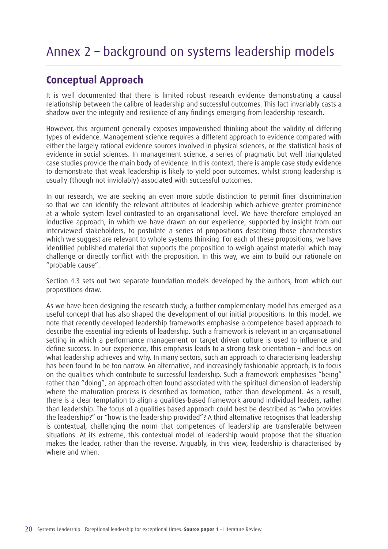## **Conceptual Approach**

It is well documented that there is limited robust research evidence demonstrating a causal relationship between the calibre of leadership and successful outcomes. This fact invariably casts a shadow over the integrity and resilience of any findings emerging from leadership research.

However, this argument generally exposes impoverished thinking about the validity of differing types of evidence. Management science requires a different approach to evidence compared with either the largely rational evidence sources involved in physical sciences, or the statistical basis of evidence in social sciences. In management science, a series of pragmatic but well triangulated case studies provide the main body of evidence. In this context, there is ample case study evidence to demonstrate that weak leadership is likely to yield poor outcomes, whilst strong leadership is usually (though not inviolably) associated with successful outcomes.

In our research, we are seeking an even more subtle distinction to permit finer discrimination so that we can identify the relevant attributes of leadership which achieve greater prominence at a whole system level contrasted to an organisational level. We have therefore employed an inductive approach, in which we have drawn on our experience, supported by insight from our interviewed stakeholders, to postulate a series of propositions describing those characteristics which we suggest are relevant to whole systems thinking. For each of these propositions, we have identified published material that supports the proposition to weigh against material which may challenge or directly conflict with the proposition. In this way, we aim to build our rationale on "probable cause".

Section 4.3 sets out two separate foundation models developed by the authors, from which our propositions draw.

As we have been designing the research study, a further complementary model has emerged as a useful concept that has also shaped the development of our initial propositions. In this model, we note that recently developed leadership frameworks emphasise a competence based approach to describe the essential ingredients of leadership. Such a framework is relevant in an organisational setting in which a performance management or target driven culture is used to influence and define success. In our experience, this emphasis leads to a strong task orientation – and focus on what leadership achieves and why. In many sectors, such an approach to characterising leadership has been found to be too narrow. An alternative, and increasingly fashionable approach, is to focus on the qualities which contribute to successful leadership. Such a framework emphasises "being" rather than "doing", an approach often found associated with the spiritual dimension of leadership where the maturation process is described as formation, rather than development. As a result, there is a clear temptation to align a qualities-based framework around individual leaders, rather than leadership. The focus of a qualities based approach could best be described as "who provides the leadership?" or "how is the leadership provided"? A third alternative recognises that leadership is contextual, challenging the norm that competences of leadership are transferable between situations. At its extreme, this contextual model of leadership would propose that the situation makes the leader, rather than the reverse. Arguably, in this view, leadership is characterised by where and when.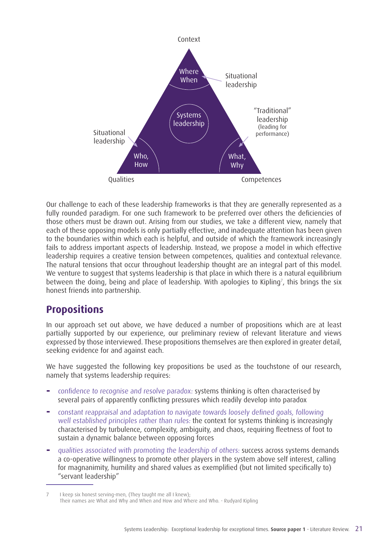

Our challenge to each of these leadership frameworks is that they are generally represented as a fully rounded paradigm. For one such framework to be preferred over others the deficiencies of those others must be drawn out. Arising from our studies, we take a different view, namely that each of these opposing models is only partially effective, and inadequate attention has been given to the boundaries within which each is helpful, and outside of which the framework increasingly fails to address important aspects of leadership. Instead, we propose a model in which effective leadership requires a creative tension between competences, qualities and contextual relevance. The natural tensions that occur throughout leadership thought are an integral part of this model. We venture to suggest that systems leadership is that place in which there is a natural equilibrium between the doing, being and place of leadership. With apologies to Kipling<sup>7</sup>, this brings the six honest friends into partnership.

#### **Propositions**

In our approach set out above, we have deduced a number of propositions which are at least partially supported by our experience, our preliminary review of relevant literature and views expressed by those interviewed. These propositions themselves are then explored in greater detail, seeking evidence for and against each.

We have suggested the following key propositions be used as the touchstone of our research, namely that systems leadership requires:

- **−** confidence to recognise and resolve paradox: systems thinking is often characterised by several pairs of apparently conflicting pressures which readily develop into paradox
- **−** constant reappraisal and adaptation to navigate towards loosely defined goals, following well established principles rather than rules: the context for systems thinking is increasingly characterised by turbulence, complexity, ambiguity, and chaos, requiring fleetness of foot to sustain a dynamic balance between opposing forces
- **−** qualities associated with promoting the leadership of others: success across systems demands a co-operative willingness to promote other players in the system above self interest, calling for magnanimity, humility and shared values as exemplified (but not limited specifically to) "servant leadership"

<sup>7</sup> I keep six honest serving-men, (They taught me all I knew); Their names are What and Why and When and How and Where and Who. - Rudyard Kipling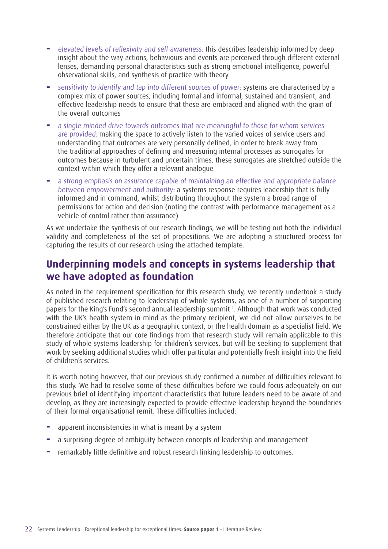- **−** elevated levels of reflexivity and self awareness: this describes leadership informed by deep insight about the way actions, behaviours and events are perceived through different external lenses, demanding personal characteristics such as strong emotional intelligence, powerful observational skills, and synthesis of practice with theory
- **−** sensitivity to identify and tap into different sources of power: systems are characterised by a complex mix of power sources, including formal and informal, sustained and transient, and effective leadership needs to ensure that these are embraced and aligned with the grain of the overall outcomes
- **−** a single minded drive towards outcomes that are meaningful to those for whom services are provided: making the space to actively listen to the varied voices of service users and understanding that outcomes are very personally defined, in order to break away from the traditional approaches of defining and measuring internal processes as surrogates for outcomes because in turbulent and uncertain times, these surrogates are stretched outside the context within which they offer a relevant analogue
- **−** a strong emphasis on assurance capable of maintaining an effective and appropriate balance between empowerment and authority: a systems response requires leadership that is fully informed and in command, whilst distributing throughout the system a broad range of permissions for action and decision (noting the contrast with performance management as a vehicle of control rather than assurance)

As we undertake the synthesis of our research findings, we will be testing out both the individual validity and completeness of the set of propositions. We are adopting a structured process for capturing the results of our research using the attached template.

### **Underpinning models and concepts in systems leadership that we have adopted as foundation**

As noted in the requirement specification for this research study, we recently undertook a study of published research relating to leadership of whole systems, as one of a number of supporting papers for the King's Fund's second annual leadership summit 1 . Although that work was conducted with the UK's health system in mind as the primary recipient, we did not allow ourselves to be constrained either by the UK as a geographic context, or the health domain as a specialist field. We therefore anticipate that our core findings from that research study will remain applicable to this study of whole systems leadership for children's services, but will be seeking to supplement that work by seeking additional studies which offer particular and potentially fresh insight into the field of children's services.

It is worth noting however, that our previous study confirmed a number of difficulties relevant to this study. We had to resolve some of these difficulties before we could focus adequately on our previous brief of identifying important characteristics that future leaders need to be aware of and develop, as they are increasingly expected to provide effective leadership beyond the boundaries of their formal organisational remit. These difficulties included:

- **−** apparent inconsistencies in what is meant by a system
- **−** a surprising degree of ambiguity between concepts of leadership and management
- **−** remarkably little definitive and robust research linking leadership to outcomes.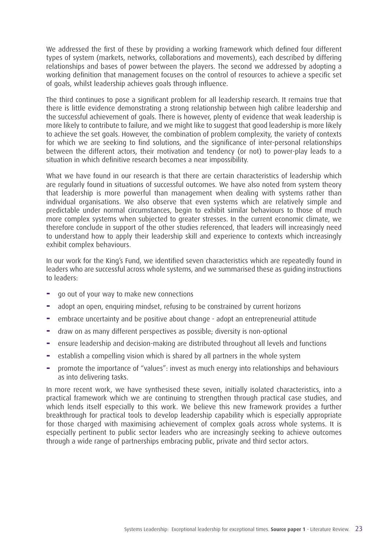We addressed the first of these by providing a working framework which defined four different types of system (markets, networks, collaborations and movements), each described by differing relationships and bases of power between the players. The second we addressed by adopting a working definition that management focuses on the control of resources to achieve a specific set of goals, whilst leadership achieves goals through influence.

The third continues to pose a significant problem for all leadership research. It remains true that there is little evidence demonstrating a strong relationship between high calibre leadership and the successful achievement of goals. There is however, plenty of evidence that weak leadership is more likely to contribute to failure, and we might like to suggest that good leadership is more likely to achieve the set goals. However, the combination of problem complexity, the variety of contexts for which we are seeking to find solutions, and the significance of inter-personal relationships between the different actors, their motivation and tendency (or not) to power-play leads to a situation in which definitive research becomes a near impossibility.

What we have found in our research is that there are certain characteristics of leadership which are regularly found in situations of successful outcomes. We have also noted from system theory that leadership is more powerful than management when dealing with systems rather than individual organisations. We also observe that even systems which are relatively simple and predictable under normal circumstances, begin to exhibit similar behaviours to those of much more complex systems when subjected to greater stresses. In the current economic climate, we therefore conclude in support of the other studies referenced, that leaders will increasingly need to understand how to apply their leadership skill and experience to contexts which increasingly exhibit complex behaviours.

In our work for the King's Fund, we identified seven characteristics which are repeatedly found in leaders who are successful across whole systems, and we summarised these as guiding instructions to leaders:

- **−** go out of your way to make new connections
- **−** adopt an open, enquiring mindset, refusing to be constrained by current horizons
- **−** embrace uncertainty and be positive about change adopt an entrepreneurial attitude
- **−** draw on as many different perspectives as possible; diversity is non-optional
- **−** ensure leadership and decision-making are distributed throughout all levels and functions
- **−** establish a compelling vision which is shared by all partners in the whole system
- **−** promote the importance of "values": invest as much energy into relationships and behaviours as into delivering tasks.

In more recent work, we have synthesised these seven, initially isolated characteristics, into a practical framework which we are continuing to strengthen through practical case studies, and which lends itself especially to this work. We believe this new framework provides a further breakthrough for practical tools to develop leadership capability which is especially appropriate for those charged with maximising achievement of complex goals across whole systems. It is especially pertinent to public sector leaders who are increasingly seeking to achieve outcomes through a wide range of partnerships embracing public, private and third sector actors.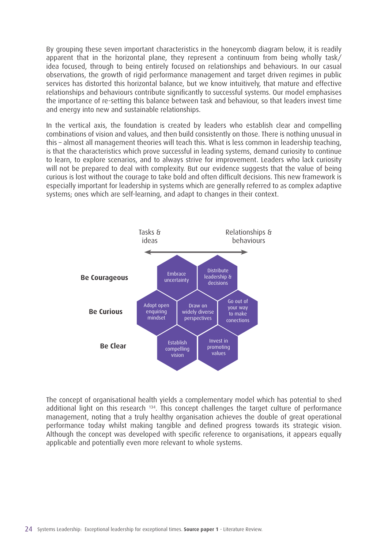By grouping these seven important characteristics in the honeycomb diagram below, it is readily apparent that in the horizontal plane, they represent a continuum from being wholly task/ idea focused, through to being entirely focused on relationships and behaviours. In our casual observations, the growth of rigid performance management and target driven regimes in public services has distorted this horizontal balance, but we know intuitively, that mature and effective relationships and behaviours contribute significantly to successful systems. Our model emphasises the importance of re-setting this balance between task and behaviour, so that leaders invest time and energy into new and sustainable relationships.

In the vertical axis, the foundation is created by leaders who establish clear and compelling combinations of vision and values, and then build consistently on those. There is nothing unusual in this – almost all management theories will teach this. What is less common in leadership teaching, is that the characteristics which prove successful in leading systems, demand curiosity to continue to learn, to explore scenarios, and to always strive for improvement. Leaders who lack curiosity will not be prepared to deal with complexity. But our evidence suggests that the value of being curious is lost without the courage to take bold and often difficult decisions. This new framework is especially important for leadership in systems which are generally referred to as complex adaptive systems; ones which are self-learning, and adapt to changes in their context.



The concept of organisational health yields a complementary model which has potential to shed additional light on this research <sup>134</sup>. This concept challenges the target culture of performance management, noting that a truly healthy organisation achieves the double of great operational performance today whilst making tangible and defined progress towards its strategic vision. Although the concept was developed with specific reference to organisations, it appears equally applicable and potentially even more relevant to whole systems.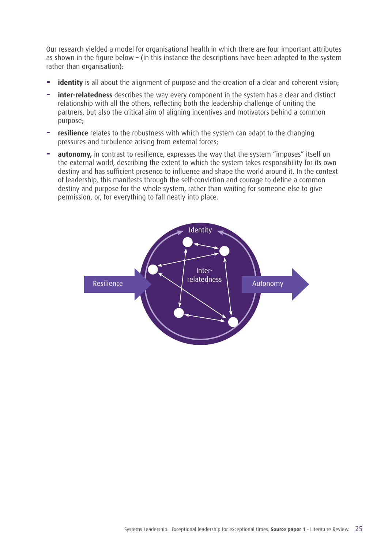Our research yielded a model for organisational health in which there are four important attributes as shown in the figure below – (in this instance the descriptions have been adapted to the system rather than organisation):

- **identity** is all about the alignment of purpose and the creation of a clear and coherent vision;
- **inter-relatedness** describes the way every component in the system has a clear and distinct relationship with all the others, reflecting both the leadership challenge of uniting the partners, but also the critical aim of aligning incentives and motivators behind a common purpose;
- **− resilience** relates to the robustness with which the system can adapt to the changing pressures and turbulence arising from external forces;
- **autonomy,** in contrast to resilience, expresses the way that the system "imposes" itself on the external world, describing the extent to which the system takes responsibility for its own destiny and has sufficient presence to influence and shape the world around it. In the context of leadership, this manifests through the self-conviction and courage to define a common destiny and purpose for the whole system, rather than waiting for someone else to give permission, or, for everything to fall neatly into place.

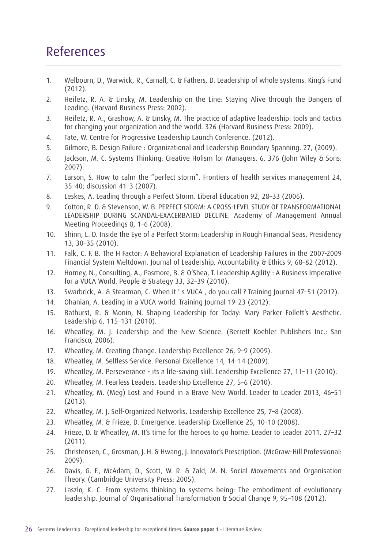# References

- 1. Welbourn, D., Warwick, R., Carnall, C. & Fathers, D. Leadership of whole systems. King's Fund (2012).
- 2. Heifetz, R. A. & Linsky, M. Leadership on the Line: Staying Alive through the Dangers of Leading. (Harvard Business Press: 2002).
- 3. Heifetz, R. A., Grashow, A. & Linsky, M. The practice of adaptive leadership: tools and tactics for changing your organization and the world. 326 (Harvard Business Press: 2009).
- 4. Tate, W. Centre for Progressive Leadership Launch Conference. (2012).
- 5. Gilmore, B. Design Failure : Organizational and Leadership Boundary Spanning. 27, (2009).
- 6. Jackson, M. C. Systems Thinking: Creative Holism for Managers. 6, 376 (John Wiley & Sons: 2007).
- 7. Larson, S. How to calm the "perfect storm". Frontiers of health services management 24, 35–40; discussion 41–3 (2007).
- 8. Leskes, A. Leading through a Perfect Storm. Liberal Education 92, 28–33 (2006).
- 9. Cotton, R. D. & Stevenson, W. B. PERFECT STORM: A CROSS-LEVEL STUDY OF TRANSFORMATIONAL LEADERSHIP DURING SCANDAL-EXACERBATED DECLINE. Academy of Management Annual Meeting Proceedings 8, 1–6 (2008).
- 10. Shinn, L. D. Inside the Eye of a Perfect Storm: Leadership in Rough Financial Seas. Presidency 13, 30–35 (2010).
- 11. Falk, C. F. B. The H Factor: A Behavioral Explanation of Leadership Failures in the 2007-2009 Financial System Meltdown. Journal of Leadership, Accountability & Ethics 9, 68–82 (2012).
- 12. Horney, N., Consulting, A., Pasmore, B. & O'Shea, T. Leadership Agility : A Business Imperative for a VUCA World. People & Strategy 33, 32–39 (2010).
- 13. Swarbrick, A. & Stearman, C. When it ' s VUCA , do you call ? Training Journal 47–51 (2012).
- 14. Ohanian, A. Leading in a VUCA world. Training Journal 19–23 (2012).
- 15. Bathurst, R. & Monin, N. Shaping Leadership for Today: Mary Parker Follett's Aesthetic. Leadership 6, 115–131 (2010).
- 16. Wheatley, M. J. Leadership and the New Science. (Berrett Koehler Publishers Inc.: San Francisco, 2006).
- 17. Wheatley, M. Creating Change. Leadership Excellence 26, 9–9 (2009).
- 18. Wheatley, M. Selfless Service. Personal Excellence 14, 14–14 (2009).
- 19. Wheatley, M. Perseverance its a life-saving skill. Leadership Excellence 27, 11–11 (2010).
- 20. Wheatley, M. Fearless Leaders. Leadership Excellence 27, 5–6 (2010).
- 21. Wheatley, M. (Meg) Lost and Found in a Brave New World. Leader to Leader 2013, 46–51 (2013).
- 22. Wheatley, M. J. Self-Organized Networks. Leadership Excellence 25, 7–8 (2008).
- 23. Wheatley, M. & Frieze, D. Emergence. Leadership Excellence 25, 10–10 (2008).
- 24. Frieze, D. & Wheatley, M. It's time for the heroes to go home. Leader to Leader 2011, 27–32 (2011).
- 25. Christensen, C., Grosman, J. H. & Hwang, J. Innovator's Prescription. (McGraw-Hill Professional: 2009).
- 26. Davis, G. F., McAdam, D., Scott, W. R. & Zald, M. N. Social Movements and Organisation Theory. (Cambridge University Press: 2005).
- 27. Laszlo, K. C. From systems thinking to systems being: The embodiment of evolutionary leadership. Journal of Organisational Transformation & Social Change 9, 95–108 (2012).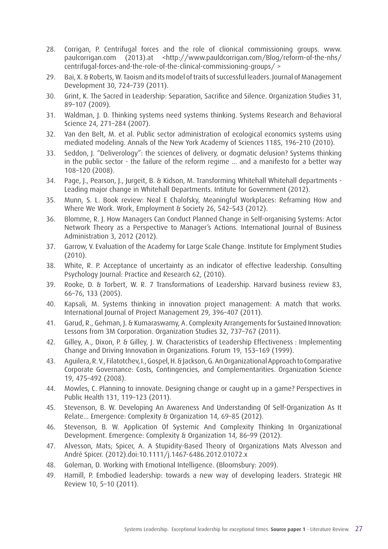- 28. Corrigan, P. Centrifugal forces and the role of clionical commissioning groups. www. paulcorrigan.com (2013).at <http://www.pauldcorrigan.com/Blog/reform-of-the-nhs/ centrifugal-forces-and-the-role-of-the-clinical-commissioning-groups/ >
- 29. Bai, X. & Roberts, W. Taoism and its model of traits of successful leaders. Journal of Management Development 30, 724–739 (2011).
- 30. Grint, K. The Sacred in Leadership: Separation, Sacrifice and Silence. Organization Studies 31, 89–107 (2009).
- 31. Waldman, J. D. Thinking systems need systems thinking. Systems Research and Behavioral Science 24, 271–284 (2007).
- 32. Van den Belt, M. et al. Public sector administration of ecological economics systems using mediated modeling. Annals of the New York Academy of Sciences 1185, 196–210 (2010).
- 33. Seddon, J. "Deliverology": the sciences of delivery, or dogmatic delusion? Systems thinking in the public sector - the failure of the reform regime ... and a manifesto for a better way 108–120 (2008).
- 34. Page, J., Pearson, J., Jurgeit, B. & Kidson, M. Transforming Whitehall Whitehall departments Leading major change in Whitehall Departments. Intitute for Government (2012).
- 35. Munn, S. L. Book review: Neal E Chalofsky, Meaningful Workplaces: Reframing How and Where We Work. Work, Employment & Society 26, 542–543 (2012).
- 36. Blomme, R. J. How Managers Can Conduct Planned Change in Self-organising Systems: Actor Network Theory as a Perspective to Manager's Actions. International Journal of Business Administration 3, 2012 (2012).
- 37. Garrow, V. Evaluation of the Academy for Large Scale Change. Institute for Emplyment Studies (2010).
- 38. White, R. P. Acceptance of uncertainty as an indicator of effective leadership. Consulting Psychology Journal: Practice and Research 62, (2010).
- 39. Rooke, D. & Torbert, W. R. 7 Transformations of Leadership. Harvard business review 83, 66–76, 133 (2005).
- 40. Kapsali, M. Systems thinking in innovation project management: A match that works. International Journal of Project Management 29, 396–407 (2011).
- 41. Garud, R., Gehman, J. & Kumaraswamy, A. Complexity Arrangements for Sustained Innovation: Lessons from 3M Corporation. Organization Studies 32, 737–767 (2011).
- 42. Gilley, A., Dixon, P. & Gilley, J. W. Characteristics of Leadership Effectiveness : Implementing Change and Driving Innovation in Organizations. Forum 19, 153–169 (1999).
- 43. Aguilera, R. V., Filatotchev, I., Gospel, H. & Jackson, G. An Organizational Approach to Comparative Corporate Governance: Costs, Contingencies, and Complementarities. Organization Science 19, 475–492 (2008).
- 44. Mowles, C. Planning to innovate. Designing change or caught up in a game? Perspectives in Public Health 131, 119–123 (2011).
- 45. Stevenson, B. W. Developing An Awareness And Understanding Of Self-Organization As It Relate... Emergence: Complexity & Organization 14, 69–85 (2012).
- 46. Stevenson, B. W. Application Of Systemic And Complexity Thinking In Organizational Development. Emergence: Complexity & Organization 14, 86–99 (2012).
- 47. Alvesson, Mats; Spicer, A. A Stupidity-Based Theory of Organizations Mats Alvesson and André Spicer. (2012).doi:10.1111/j.1467-6486.2012.01072.x
- 48. Goleman, D. Working with Emotional Intelligence. (Bloomsbury: 2009).
- 49. Hamill, P. Embodied leadership: towards a new way of developing leaders. Strategic HR Review 10, 5–10 (2011).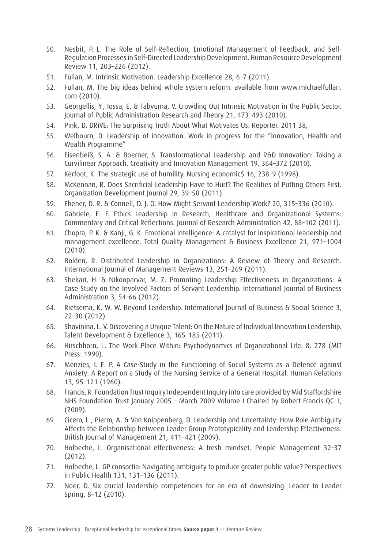- 50. Nesbit, P. L. The Role of Self-Reflection, Emotional Management of Feedback, and Self-Regulation Processes in Self-Directed Leadership Development. Human Resource Development Review 11, 203–226 (2012).
- 51. Fullan, M. Intrinsic Motivation. Leadership Excellence 28, 6–7 (2011).
- 52. Fullan, M. The big ideas behind whole system reform. available from www.michaelfullan. com (2010).
- 53. Georgellis, Y., Iossa, E. & Tabvuma, V. Crowding Out Intrinsic Motivation in the Public Sector. Journal of Public Administration Research and Theory 21, 473–493 (2010).
- 54. Pink, D. DRiVE: The Surprising Truth About What Motivates Us. Reporter. 2011 38,
- 55. Welbourn, D. Leadership of innovation. Work in progress for the "Innovation, Health and Wealth Programme"
- 56. Eisenbeiß, S. A. & Boerner, S. Transformational Leadership and R&D Innovation: Taking a Curvilinear Approach. Creativity and Innovation Management 19, 364–372 (2010).
- 57. Kerfoot, K. The strategic use of humility. Nursing economic\$ 16, 238–9 (1998).
- 58. McKennan, R. Does Sacrificial Leadership Have to Hurt? The Realities of Putting Others First. Organization Development Journal 29, 39–50 (2011).
- 59. Ebener, D. R. & Connell, D. J. O. How Might Servant Leadership Work? 20, 315–336 (2010).
- 60. Gabriele, E. F. Ethics Leadership in Research, Healthcare and Organizational Systems: Commentary and Critical Reflections. Journal of Research Administration 42, 88–102 (2011).
- 61. Chopra, P. K. & Kanji, G. K. Emotional intelligence: A catalyst for inspirational leadership and management excellence. Total Quality Management & Business Excellence 21, 971–1004 (2010).
- 62. Bolden, R. Distributed Leadership in Organizations: A Review of Theory and Research. International Journal of Management Reviews 13, 251–269 (2011).
- 63. Shekari, H. & Nikooparvar, M. Z. Promoting Leadership Effectiveness in Organizations: A Case Study on the Involved Factors of Servant Leadership. International Journal of Business Administration 3, 54–66 (2012).
- 64. Rietsema, K. W. W. Beyond Leadership. International Journal of Business & Social Science 3, 22–30 (2012).
- 65. Shavinina, L. V. Discovering a Unique Talent: On the Nature of Individual Innovation Leadership. Talent Development & Excellence 3, 165–185 (2011).
- 66. Hirschhorn, L. The Work Place Within: Psychodynamics of Organizational Life. 8, 278 (MIT Press: 1990).
- 67. Menzies, I. E. P. A Case-Study in the Functioning of Social Systems as a Defence against Anxiety: A Report on a Study of the Nursing Service of a General Hospital. Human Relations 13, 95–121 (1960).
- 68. Francis, R. Foundation Trust Inquiry Independent Inquiry into care provided by Mid Staffordshire NHS Foundation Trust January 2005 – March 2009 Volume I Chaired by Robert Francis QC. I, (2009).
- 69. Cicero, L., Pierro, A. & Van Knippenberg, D. Leadership and Uncertainty: How Role Ambiguity Affects the Relationship between Leader Group Prototypicality and Leadership Effectiveness. British Journal of Management 21, 411–421 (2009).
- 70. Holbeche, L. Organisational effectiveness: A fresh mindset. People Management 32–37 (2012).
- 71. Holbeche, L. GP consortia: Navigating ambiguity to produce greater public value? Perspectives in Public Health 131, 131–136 (2011).
- 72. Noer, D. Six crucial leadership competencies for an era of downsizing. Leader to Leader Spring, 8–12 (2010).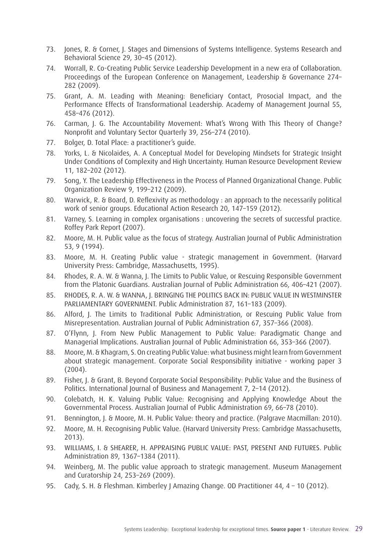- 73. Jones, R. & Corner, J. Stages and Dimensions of Systems Intelligence. Systems Research and Behavioral Science 29, 30–45 (2012).
- 74. Worrall, R. Co-Creating Public Service Leadership Development in a new era of Collaboration. Proceedings of the European Conference on Management, Leadership & Governance 274– 282 (2009).
- 75. Grant, A. M. Leading with Meaning: Beneficiary Contact, Prosocial Impact, and the Performance Effects of Transformational Leadership. Academy of Management Journal 55, 458–476 (2012).
- 76. Carman, J. G. The Accountability Movement: What's Wrong With This Theory of Change? Nonprofit and Voluntary Sector Quarterly 39, 256–274 (2010).
- 77. Bolger, D. Total Place: a practitioner's guide.
- 78. Yorks, L. & Nicolaides, A. A Conceptual Model for Developing Mindsets for Strategic Insight Under Conditions of Complexity and High Uncertainty. Human Resource Development Review 11, 182–202 (2012).
- 79. Song, Y. The Leadership Effectiveness in the Process of Planned Organizational Change. Public Organization Review 9, 199–212 (2009).
- 80. Warwick, R. & Board, D. Reflexivity as methodology : an approach to the necessarily political work of senior groups. Educational Action Research 20, 147–159 (2012).
- 81. Varney, S. Learning in complex organisations : uncovering the secrets of successful practice. Roffey Park Report (2007).
- 82. Moore, M. H. Public value as the focus of strategy. Australian Journal of Public Administration 53, 9 (1994).
- 83. Moore, M. H. Creating Public value strategic management in Government. (Harvard University Press: Cambridge, Massachusetts, 1995).
- 84. Rhodes, R. A. W. & Wanna, I. The Limits to Public Value, or Rescuing Responsible Government from the Platonic Guardians. Australian Journal of Public Administration 66, 406–421 (2007).
- 85. RHODES, R. A. W. & WANNA, J. BRINGING THE POLITICS BACK IN: PUBLIC VALUE IN WESTMINSTER PARLIAMENTARY GOVERNMENT. Public Administration 87, 161–183 (2009).
- 86. Alford, J. The Limits to Traditional Public Administration, or Rescuing Public Value from Misrepresentation. Australian Journal of Public Administration 67, 357–366 (2008).
- 87. O'Flynn, J. From New Public Management to Public Value: Paradigmatic Change and Managerial Implications. Australian Journal of Public Administration 66, 353–366 (2007).
- 88. Moore, M. & Khagram, S. On creating Public Value: what business might learn from Government about strategic management. Corporate Social Responsibility initiative - working paper 3 (2004).
- 89. Fisher, J. & Grant, B. Beyond Corporate Social Responsibility: Public Value and the Business of Politics. International Journal of Business and Management 7, 2–14 (2012).
- 90. Colebatch, H. K. Valuing Public Value: Recognising and Applying Knowledge About the Governmental Process. Australian Journal of Public Administration 69, 66–78 (2010).
- 91. Bennington, J. & Moore, M. H. Public Value: theory and practice. (Palgrave Macmillan: 2010).
- 92. Moore, M. H. Recognising Public Value. (Harvard University Press: Cambridge Massachusetts, 2013).
- 93. WILLIAMS, I. & SHEARER, H. APPRAISING PUBLIC VALUE: PAST, PRESENT AND FUTURES. Public Administration 89, 1367–1384 (2011).
- 94. Weinberg, M. The public value approach to strategic management. Museum Management and Curatorship 24, 253–269 (2009).
- 95. Cady, S. H. & Fleshman. Kimberley J Amazing Change. OD Practitioner 44, 4 10 (2012).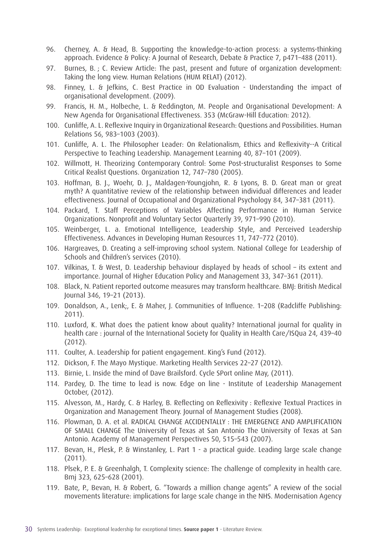- 96. Cherney, A. & Head, B. Supporting the knowledge-to-action process: a systems-thinking approach. Evidence & Policy: A Journal of Research, Debate & Practice 7, p471–488 (2011).
- 97. Burnes, B. ; C. Review Article: The past, present and future of organization development: Taking the long view. Human Relations (HUM RELAT) (2012).
- 98. Finney, L. & Jefkins, C. Best Practice in OD Evaluation Understanding the impact of organisational development. (2009).
- 99. Francis, H. M., Holbeche, L. & Reddington, M. People and Organisational Development: A New Agenda for Organisational Effectiveness. 353 (McGraw-Hill Education: 2012).
- 100. Cunliffe, A. L. Reflexive Inquiry in Organizational Research: Questions and Possibilities. Human Relations 56, 983–1003 (2003).
- 101. Cunliffe, A. L. The Philosopher Leader: On Relationalism, Ethics and Reflexivity--A Critical Perspective to Teaching Leadership. Management Learning 40, 87–101 (2009).
- 102. Willmott, H. Theorizing Contemporary Control: Some Post-structuralist Responses to Some Critical Realist Questions. Organization 12, 747–780 (2005).
- 103. Hoffman, B. J., Woehr, D. J., Maldagen-Youngjohn, R. & Lyons, B. D. Great man or great myth? A quantitative review of the relationship between individual differences and leader effectiveness. Journal of Occupational and Organizational Psychology 84, 347–381 (2011).
- 104. Packard, T. Staff Perceptions of Variables Affecting Performance in Human Service Organizations. Nonprofit and Voluntary Sector Quarterly 39, 971–990 (2010).
- 105. Weinberger, L. a. Emotional Intelligence, Leadership Style, and Perceived Leadership Effectiveness. Advances in Developing Human Resources 11, 747–772 (2010).
- 106. Hargreaves, D. Creating a self-improving school system. National College for Leadership of Schools and Children's services (2010).
- 107. Vilkinas, T. & West, D. Leadership behaviour displayed by heads of school its extent and importance. Journal of Higher Education Policy and Management 33, 347–361 (2011).
- 108. Black, N. Patient reported outcome measures may transform healthcare. BMJ: British Medical Journal 346, 19–21 (2013).
- 109. Donaldson, A., Lenk;, E. & Maher, J. Communities of Influence. 1–208 (Radcliffe Publishing: 2011).
- 110. Luxford, K. What does the patient know about quality? International journal for quality in health care : journal of the International Society for Quality in Health Care/ISQua 24, 439–40 (2012).
- 111. Coulter, A. Leadership for patient engagement. King's Fund (2012).
- 112. Dickson, F. The Mayo Mystique. Marketing Health Services 22–27 (2012).
- 113. Birnie, L. Inside the mind of Dave Brailsford. Cycle SPort online May, (2011).
- 114. Pardey, D. The time to lead is now. Edge on line Institute of Leadership Management October, (2012).
- 115. Alvesson, M., Hardy, C. & Harley, B. Reflecting on Reflexivity : Reflexive Textual Practices in Organization and Management Theory. Journal of Management Studies (2008).
- 116. Plowman, D. A. et al. RADICAL CHANGE ACCIDENTALLY : THE EMERGENCE AND AMPLIFICATION OF SMALL CHANGE The University of Texas at San Antonio The University of Texas at San Antonio. Academy of Management Perspectives 50, 515–543 (2007).
- 117. Bevan, H., Plesk, P. & Winstanley, L. Part 1 a practical guide. Leading large scale change (2011).
- 118. Plsek, P. E. & Greenhalgh, T. Complexity science: The challenge of complexity in health care. Bmj 323, 625–628 (2001).
- 119. Bate, P., Bevan, H. & Robert, G. "Towards a million change agents" A review of the social movements literature: implications for large scale change in the NHS. Modernisation Agency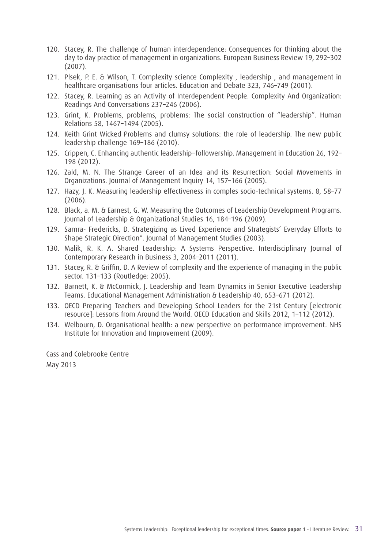- 120. Stacey, R. The challenge of human interdependence: Consequences for thinking about the day to day practice of management in organizations. European Business Review 19, 292–302 (2007).
- 121. Plsek, P. E. & Wilson, T. Complexity science Complexity , leadership , and management in healthcare organisations four articles. Education and Debate 323, 746–749 (2001).
- 122. Stacey, R. Learning as an Activity of Interdependent People. Complexity And Organization: Readings And Conversations 237–246 (2006).
- 123. Grint, K. Problems, problems, problems: The social construction of "leadership". Human Relations 58, 1467–1494 (2005).
- 124. Keith Grint Wicked Problems and clumsy solutions: the role of leadership. The new public leadership challenge 169–186 (2010).
- 125. Crippen, C. Enhancing authentic leadership−followership. Management in Education 26, 192– 198 (2012).
- 126. Zald, M. N. The Strange Career of an Idea and its Resurrection: Social Movements in Organizations. Journal of Management Inquiry 14, 157–166 (2005).
- 127. Hazy, J. K. Measuring leadership effectiveness in comples socio-technical systems. 8, 58–77 (2006).
- 128. Black, a. M. & Earnest, G. W. Measuring the Outcomes of Leadership Development Programs. Journal of Leadership & Organizational Studies 16, 184–196 (2009).
- 129. Samra- Fredericks, D. Strategizing as Lived Experience and Strategists' Everyday Efforts to Shape Strategic Direction\*. Journal of Management Studies (2003).
- 130. Malik, R. K. A. Shared Leadership: A Systems Perspective. Interdisciplinary Journal of Contemporary Research in Business 3, 2004–2011 (2011).
- 131. Stacey, R. & Griffin, D. A Review of complexity and the experience of managing in the public sector. 131–133 (Routledge: 2005).
- 132. Barnett, K. & McCormick, J. Leadership and Team Dynamics in Senior Executive Leadership Teams. Educational Management Administration & Leadership 40, 653–671 (2012).
- 133. OECD Preparing Teachers and Developing School Leaders for the 21st Century [electronic resource]: Lessons from Around the World. OECD Education and Skills 2012, 1–112 (2012).
- 134. Welbourn, D. Organisational health: a new perspective on performance improvement. NHS Institute for Innovation and Improvement (2009).

Cass and Colebrooke Centre May 2013